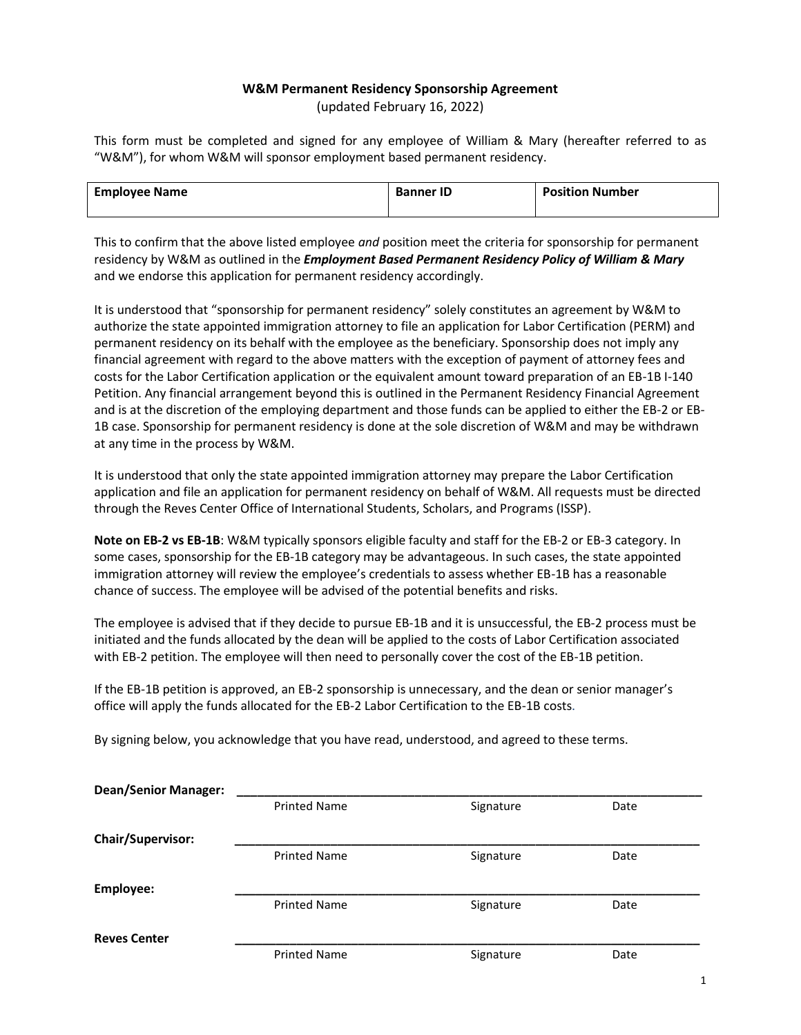## **W&M Permanent Residency Sponsorship Agreement**

(updated February 16, 2022)

This form must be completed and signed for any employee of William & Mary (hereafter referred to as "W&M"), for whom W&M will sponsor employment based permanent residency.

| <b>Employee Name</b> | <b>Banner ID</b> | <b>Position Number</b> |
|----------------------|------------------|------------------------|
|                      |                  |                        |

This to confirm that the above listed employee *and* position meet the criteria for sponsorship for permanent residency by W&M as outlined in the *Employment Based Permanent Residency Policy of William & Mary* and we endorse this application for permanent residency accordingly.

It is understood that "sponsorship for permanent residency" solely constitutes an agreement by W&M to authorize the state appointed immigration attorney to file an application for Labor Certification (PERM) and permanent residency on its behalf with the employee as the beneficiary. Sponsorship does not imply any financial agreement with regard to the above matters with the exception of payment of attorney fees and costs for the Labor Certification application or the equivalent amount toward preparation of an EB-1B I-140 Petition. Any financial arrangement beyond this is outlined in the Permanent Residency Financial Agreement and is at the discretion of the employing department and those funds can be applied to either the EB-2 or EB-1B case. Sponsorship for permanent residency is done at the sole discretion of W&M and may be withdrawn at any time in the process by W&M.

It is understood that only the state appointed immigration attorney may prepare the Labor Certification application and file an application for permanent residency on behalf of W&M. All requests must be directed through the Reves Center Office of International Students, Scholars, and Programs (ISSP).

**Note on EB-2 vs EB-1B**: W&M typically sponsors eligible faculty and staff for the EB-2 or EB-3 category. In some cases, sponsorship for the EB-1B category may be advantageous. In such cases, the state appointed immigration attorney will review the employee's credentials to assess whether EB-1B has a reasonable chance of success. The employee will be advised of the potential benefits and risks.

The employee is advised that if they decide to pursue EB-1B and it is unsuccessful, the EB-2 process must be initiated and the funds allocated by the dean will be applied to the costs of Labor Certification associated with EB-2 petition. The employee will then need to personally cover the cost of the EB-1B petition.

If the EB-1B petition is approved, an EB-2 sponsorship is unnecessary, and the dean or senior manager's office will apply the funds allocated for the EB-2 Labor Certification to the EB-1B costs.

By signing below, you acknowledge that you have read, understood, and agreed to these terms.

| <b>Dean/Senior Manager:</b> |                     |           |      |
|-----------------------------|---------------------|-----------|------|
|                             | <b>Printed Name</b> | Signature | Date |
| Chair/Supervisor:           |                     |           |      |
|                             | <b>Printed Name</b> | Signature | Date |
| Employee:                   |                     |           |      |
|                             | <b>Printed Name</b> | Signature | Date |
| <b>Reves Center</b>         |                     |           |      |
|                             | <b>Printed Name</b> | Signature | Date |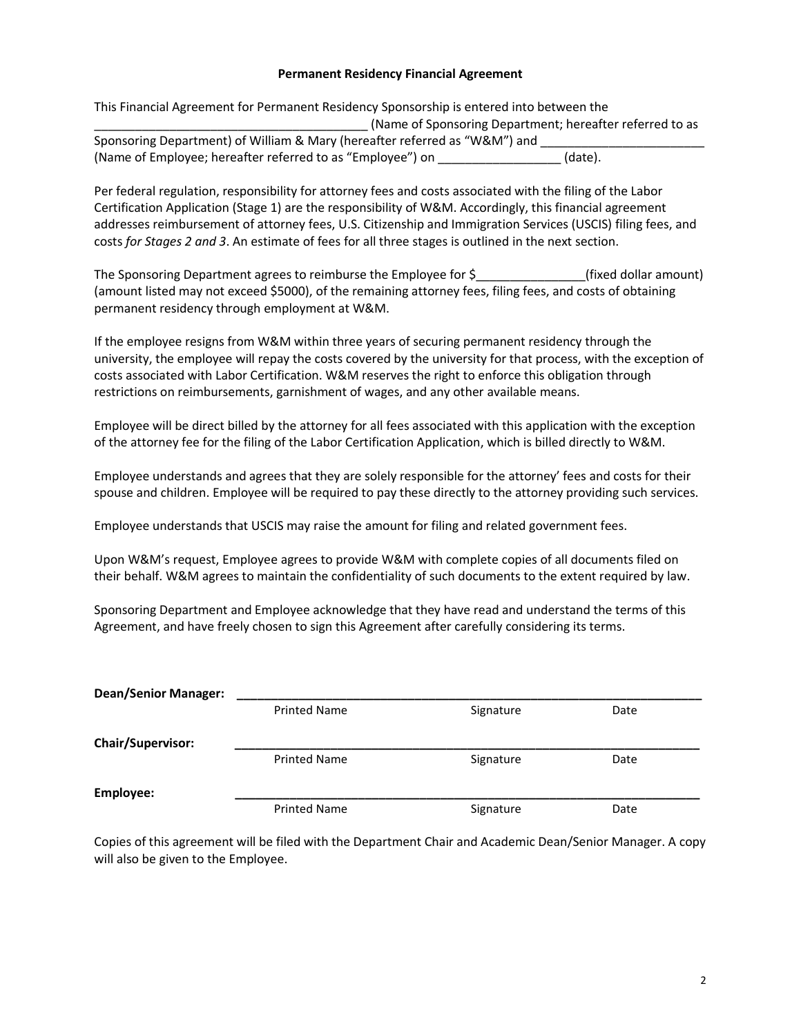#### **Permanent Residency Financial Agreement**

| This Financial Agreement for Permanent Residency Sponsorship is entered into between the |         |  |
|------------------------------------------------------------------------------------------|---------|--|
| (Name of Sponsoring Department; hereafter referred to as                                 |         |  |
| Sponsoring Department) of William & Mary (hereafter referred as "W&M") and               |         |  |
| (Name of Employee; hereafter referred to as "Employee") on                               | (date). |  |

Per federal regulation, responsibility for attorney fees and costs associated with the filing of the Labor Certification Application (Stage 1) are the responsibility of W&M. Accordingly, this financial agreement addresses reimbursement of attorney fees, U.S. Citizenship and Immigration Services (USCIS) filing fees, and costs *for Stages 2 and 3*. An estimate of fees for all three stages is outlined in the next section.

The Sponsoring Department agrees to reimburse the Employee for  $\zeta$  (fixed dollar amount) (amount listed may not exceed \$5000), of the remaining attorney fees, filing fees, and costs of obtaining permanent residency through employment at W&M.

If the employee resigns from W&M within three years of securing permanent residency through the university, the employee will repay the costs covered by the university for that process, with the exception of costs associated with Labor Certification. W&M reserves the right to enforce this obligation through restrictions on reimbursements, garnishment of wages, and any other available means.

Employee will be direct billed by the attorney for all fees associated with this application with the exception of the attorney fee for the filing of the Labor Certification Application, which is billed directly to W&M.

Employee understands and agrees that they are solely responsible for the attorney' fees and costs for their spouse and children. Employee will be required to pay these directly to the attorney providing such services.

Employee understands that USCIS may raise the amount for filing and related government fees.

Upon W&M's request, Employee agrees to provide W&M with complete copies of all documents filed on their behalf. W&M agrees to maintain the confidentiality of such documents to the extent required by law.

Sponsoring Department and Employee acknowledge that they have read and understand the terms of this Agreement, and have freely chosen to sign this Agreement after carefully considering its terms.

| <b>Dean/Senior Manager:</b> |                     |           |      |
|-----------------------------|---------------------|-----------|------|
|                             | <b>Printed Name</b> | Signature | Date |
| <b>Chair/Supervisor:</b>    |                     |           |      |
|                             | <b>Printed Name</b> | Signature | Date |
| Employee:                   |                     |           |      |
|                             | <b>Printed Name</b> | Signature | Date |

Copies of this agreement will be filed with the Department Chair and Academic Dean/Senior Manager. A copy will also be given to the Employee.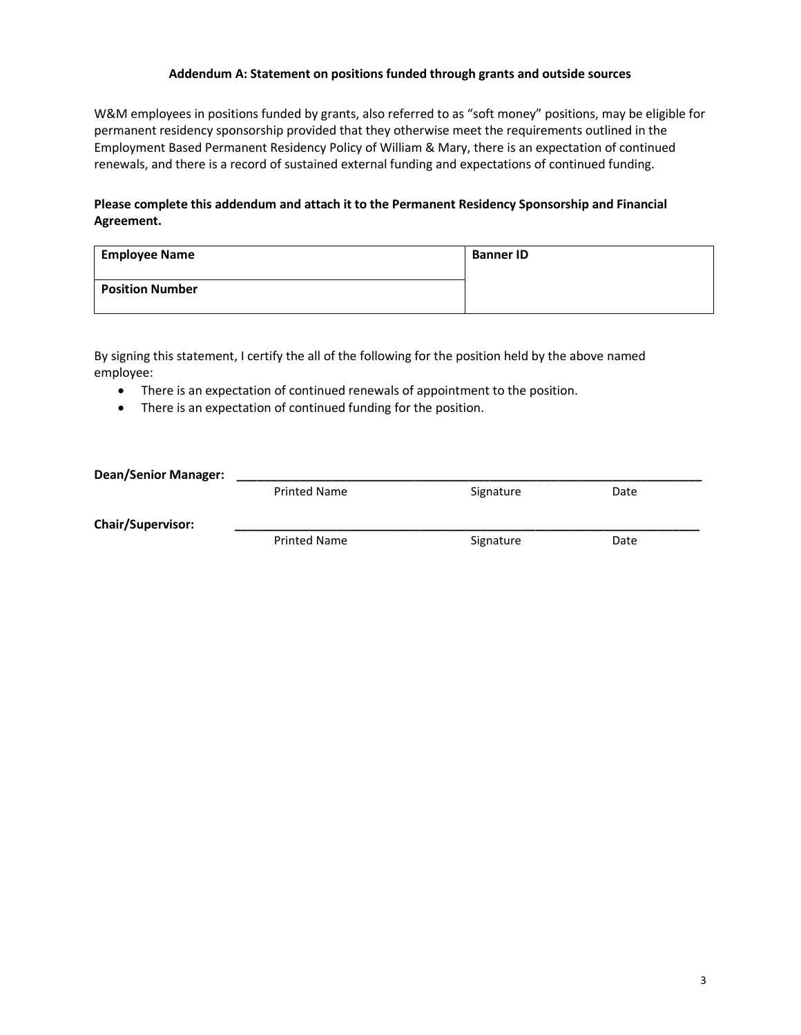### **Addendum A: Statement on positions funded through grants and outside sources**

W&M employees in positions funded by grants, also referred to as "soft money" positions, may be eligible for permanent residency sponsorship provided that they otherwise meet the requirements outlined in the Employment Based Permanent Residency Policy of William & Mary, there is an expectation of continued renewals, and there is a record of sustained external funding and expectations of continued funding.

## **Please complete this addendum and attach it to the Permanent Residency Sponsorship and Financial Agreement.**

| <b>Employee Name</b>   | <b>Banner ID</b> |
|------------------------|------------------|
| <b>Position Number</b> |                  |

By signing this statement, I certify the all of the following for the position held by the above named employee:

- There is an expectation of continued renewals of appointment to the position.
- There is an expectation of continued funding for the position.

| <b>Dean/Senior Manager:</b> |                     |           |      |  |
|-----------------------------|---------------------|-----------|------|--|
|                             | <b>Printed Name</b> | Signature | Date |  |
| <b>Chair/Supervisor:</b>    |                     |           |      |  |
|                             | <b>Printed Name</b> | Signature | Date |  |
|                             |                     |           |      |  |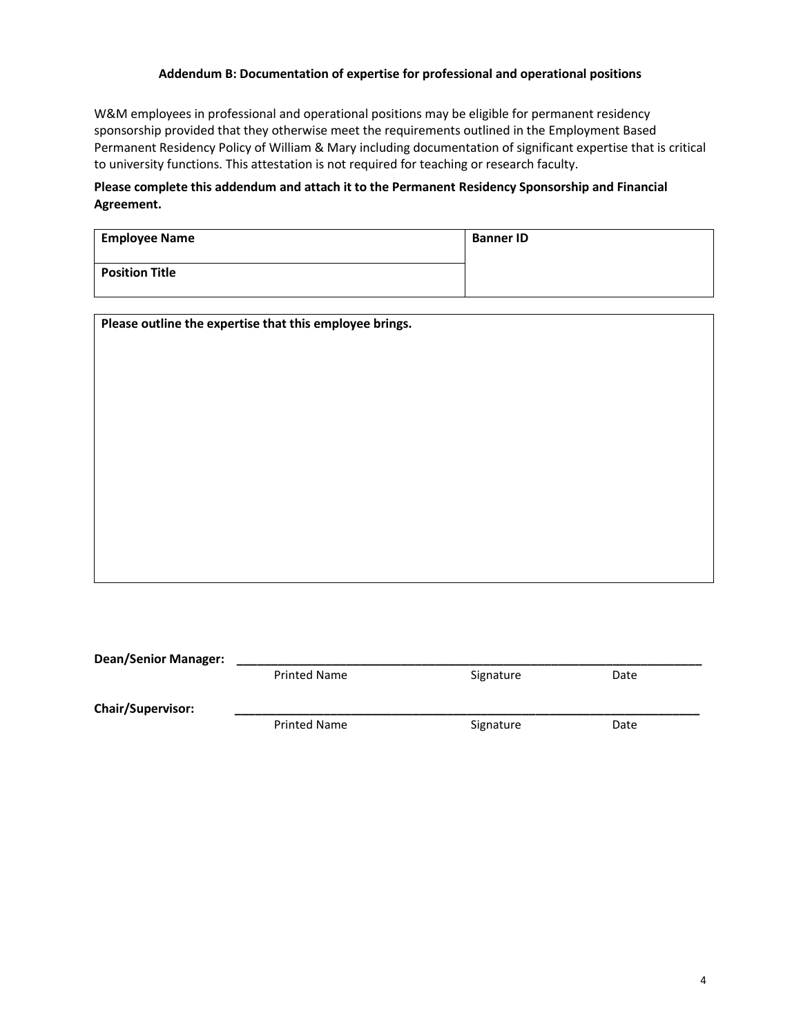## **Addendum B: Documentation of expertise for professional and operational positions**

W&M employees in professional and operational positions may be eligible for permanent residency sponsorship provided that they otherwise meet the requirements outlined in the Employment Based Permanent Residency Policy of William & Mary including documentation of significant expertise that is critical to university functions. This attestation is not required for teaching or research faculty.

# **Please complete this addendum and attach it to the Permanent Residency Sponsorship and Financial Agreement.**

| <b>Employee Name</b>  | <b>Banner ID</b> |
|-----------------------|------------------|
| <b>Position Title</b> |                  |

| Please outline the expertise that this employee brings. |  |  |
|---------------------------------------------------------|--|--|
|                                                         |  |  |
|                                                         |  |  |
|                                                         |  |  |
|                                                         |  |  |
|                                                         |  |  |
|                                                         |  |  |
|                                                         |  |  |
|                                                         |  |  |
|                                                         |  |  |
|                                                         |  |  |
|                                                         |  |  |

| <b>Dean/Senior Manager:</b> |                     |           |      |  |
|-----------------------------|---------------------|-----------|------|--|
|                             | <b>Printed Name</b> | Signature | Date |  |
| <b>Chair/Supervisor:</b>    |                     |           |      |  |
|                             | <b>Printed Name</b> | Signature | Date |  |
|                             |                     |           |      |  |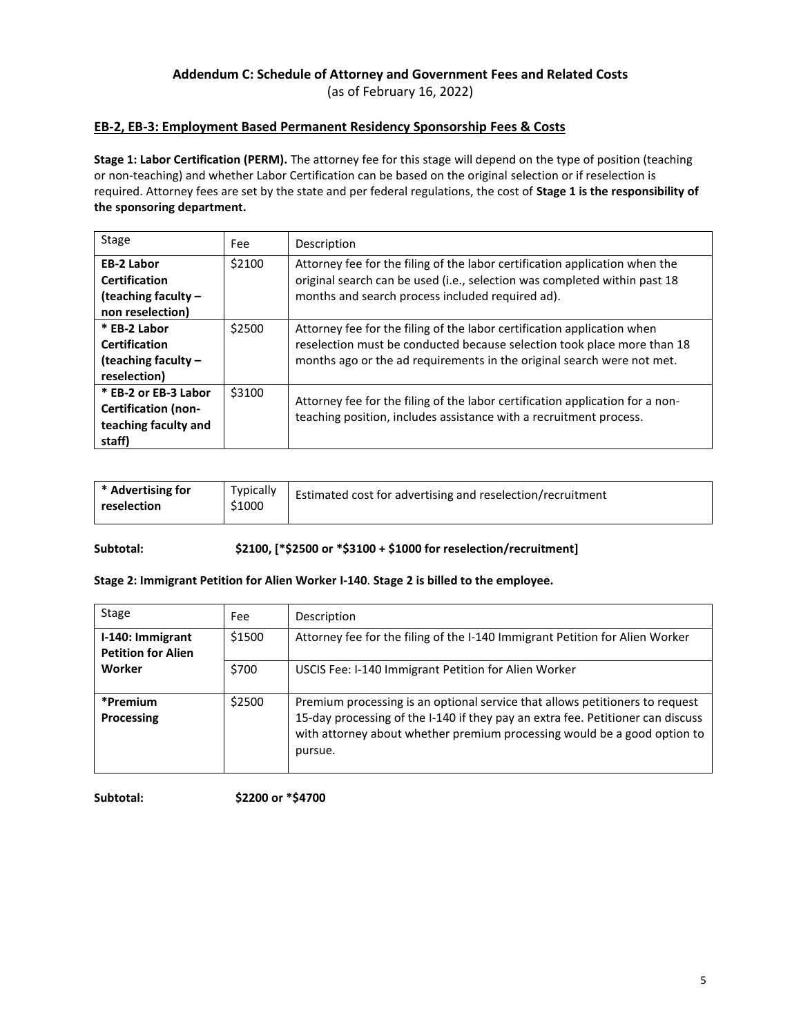# **Addendum C: Schedule of Attorney and Government Fees and Related Costs**

(as of February 16, 2022)

# **EB-2, EB-3: Employment Based Permanent Residency Sponsorship Fees & Costs**

**Stage 1: Labor Certification (PERM).** The attorney fee for this stage will depend on the type of position (teaching or non-teaching) and whether Labor Certification can be based on the original selection or if reselection is required. Attorney fees are set by the state and per federal regulations, the cost of **Stage 1 is the responsibility of the sponsoring department.**

| <b>Stage</b>                                                                         | Fee    | Description                                                                                                                                                                                                                  |
|--------------------------------------------------------------------------------------|--------|------------------------------------------------------------------------------------------------------------------------------------------------------------------------------------------------------------------------------|
| <b>EB-2 Labor</b><br><b>Certification</b><br>(teaching faculty -<br>non reselection) | \$2100 | Attorney fee for the filing of the labor certification application when the<br>original search can be used (i.e., selection was completed within past 18<br>months and search process included required ad).                 |
| * EB-2 Labor<br><b>Certification</b><br>(teaching faculty -<br>reselection)          | \$2500 | Attorney fee for the filing of the labor certification application when<br>reselection must be conducted because selection took place more than 18<br>months ago or the ad requirements in the original search were not met. |
| * EB-2 or EB-3 Labor<br><b>Certification (non-</b><br>teaching faculty and<br>staff) | \$3100 | Attorney fee for the filing of the labor certification application for a non-<br>teaching position, includes assistance with a recruitment process.                                                                          |

| * Advertising for | Typically | Estimated cost for advertising and reselection/recruitment |
|-------------------|-----------|------------------------------------------------------------|
| reselection       | \$1000    |                                                            |

**Subtotal: \$2100, [\*\$2500 or \*\$3100 + \$1000 for reselection/recruitment]**

### **Stage 2: Immigrant Petition for Alien Worker I-140**. **Stage 2 is billed to the employee.**

| Stage                                         | Fee:   | Description                                                                                                                                                                                                                                            |
|-----------------------------------------------|--------|--------------------------------------------------------------------------------------------------------------------------------------------------------------------------------------------------------------------------------------------------------|
| I-140: Immigrant<br><b>Petition for Alien</b> | \$1500 | Attorney fee for the filing of the I-140 Immigrant Petition for Alien Worker                                                                                                                                                                           |
| Worker                                        | \$700  | USCIS Fee: I-140 Immigrant Petition for Alien Worker                                                                                                                                                                                                   |
| *Premium<br>Processing                        | \$2500 | Premium processing is an optional service that allows petitioners to request<br>15-day processing of the I-140 if they pay an extra fee. Petitioner can discuss<br>with attorney about whether premium processing would be a good option to<br>pursue. |

**Subtotal: \$2200 or \*\$4700**